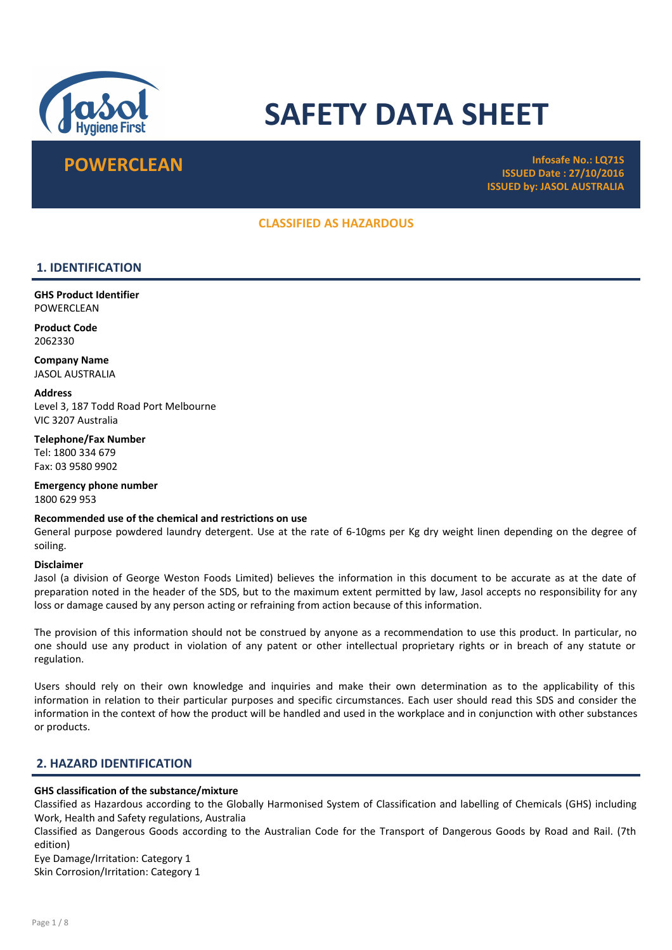

# SAFETY DATA SHEET

**POWERCLEAN Infosafe No.: LQ71S** ISSUED Date : 27/10/2016 ISSUED by: JASOL AUSTRALIA

### CLASSIFIED AS HAZARDOUS

# 1. IDENTIFICATION

GHS Product Identifier **POWERCLEAN** 

Product Code 2062330

Company Name JASOL AUSTRALIA

**Address** Level 3, 187 Todd Road Port Melbourne VIC 3207 Australia

Telephone/Fax Number Tel: 1800 334 679 Fax: 03 9580 9902

Emergency phone number 1800 629 953

#### Recommended use of the chemical and restrictions on use

General purpose powdered laundry detergent. Use at the rate of 6-10gms per Kg dry weight linen depending on the degree of soiling.

#### Disclaimer

Jasol (a division of George Weston Foods Limited) believes the information in this document to be accurate as at the date of preparation noted in the header of the SDS, but to the maximum extent permitted by law, Jasol accepts no responsibility for any loss or damage caused by any person acting or refraining from action because of this information.

The provision of this information should not be construed by anyone as a recommendation to use this product. In particular, no one should use any product in violation of any patent or other intellectual proprietary rights or in breach of any statute or regulation.

Users should rely on their own knowledge and inquiries and make their own determination as to the applicability of this information in relation to their particular purposes and specific circumstances. Each user should read this SDS and consider the information in the context of how the product will be handled and used in the workplace and in conjunction with other substances or products.

#### 2. HAZARD IDENTIFICATION

# GHS classification of the substance/mixture

Classified as Hazardous according to the Globally Harmonised System of Classification and labelling of Chemicals (GHS) including Work, Health and Safety regulations, Australia

Classified as Dangerous Goods according to the Australian Code for the Transport of Dangerous Goods by Road and Rail. (7th edition)

Eye Damage/Irritation: Category 1

Skin Corrosion/Irritation: Category 1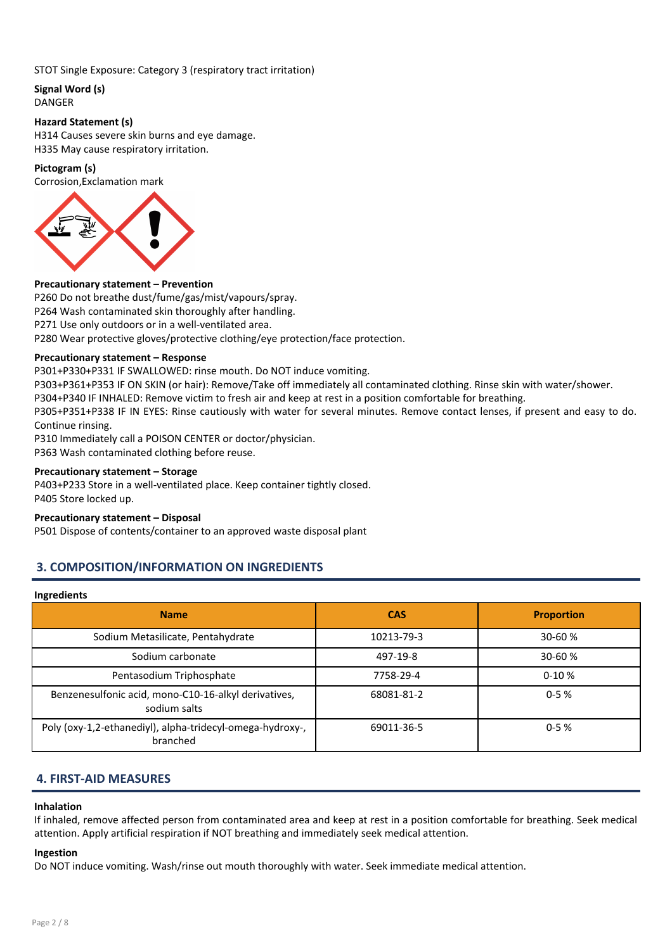#### STOT Single Exposure: Category 3 (respiratory tract irritation)

# Signal Word (s)

DANGER

#### Hazard Statement (s)

H314 Causes severe skin burns and eye damage. H335 May cause respiratory irritation.

#### Pictogram (s)

Corrosion,Exclamation mark



#### Precautionary statement – Prevention

P260 Do not breathe dust/fume/gas/mist/vapours/spray. P264 Wash contaminated skin thoroughly after handling. P271 Use only outdoors or in a well-ventilated area. P280 Wear protective gloves/protective clothing/eye protection/face protection.

#### Precautionary statement – Response

P301+P330+P331 IF SWALLOWED: rinse mouth. Do NOT induce vomiting.

P303+P361+P353 IF ON SKIN (or hair): Remove/Take off immediately all contaminated clothing. Rinse skin with water/shower.

P304+P340 IF INHALED: Remove victim to fresh air and keep at rest in a position comfortable for breathing.

P305+P351+P338 IF IN EYES: Rinse cautiously with water for several minutes. Remove contact lenses, if present and easy to do. Continue rinsing.

P310 Immediately call a POISON CENTER or doctor/physician.

P363 Wash contaminated clothing before reuse.

#### Precautionary statement – Storage

P403+P233 Store in a well-ventilated place. Keep container tightly closed. P405 Store locked up.

#### Precautionary statement – Disposal

P501 Dispose of contents/container to an approved waste disposal plant

# 3. COMPOSITION/INFORMATION ON INGREDIENTS

#### Ingredients

| <b>Name</b>                                                           | <b>CAS</b> | <b>Proportion</b> |
|-----------------------------------------------------------------------|------------|-------------------|
| Sodium Metasilicate, Pentahydrate                                     | 10213-79-3 | $30 - 60%$        |
| Sodium carbonate                                                      | 497-19-8   | 30-60 %           |
| Pentasodium Triphosphate                                              | 7758-29-4  | $0-10%$           |
| Benzenesulfonic acid, mono-C10-16-alkyl derivatives,<br>sodium salts  | 68081-81-2 | $0 - 5%$          |
| Poly (oxy-1,2-ethanediyl), alpha-tridecyl-omega-hydroxy-,<br>branched | 69011-36-5 | $0 - 5%$          |

#### 4. FIRST-AID MEASURES

#### Inhalation

If inhaled, remove affected person from contaminated area and keep at rest in a position comfortable for breathing. Seek medical attention. Apply artificial respiration if NOT breathing and immediately seek medical attention.

#### Ingestion

Do NOT induce vomiting. Wash/rinse out mouth thoroughly with water. Seek immediate medical attention.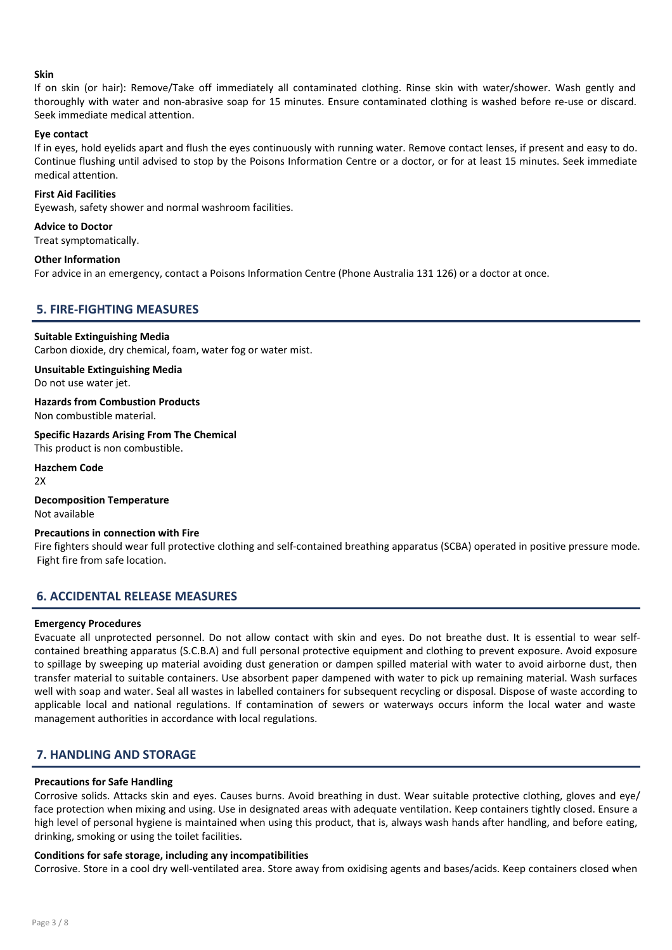#### Skin

If on skin (or hair): Remove/Take off immediately all contaminated clothing. Rinse skin with water/shower. Wash gently and thoroughly with water and non-abrasive soap for 15 minutes. Ensure contaminated clothing is washed before re-use or discard. Seek immediate medical attention.

#### Eye contact

If in eyes, hold eyelids apart and flush the eyes continuously with running water. Remove contact lenses, if present and easy to do. Continue flushing until advised to stop by the Poisons Information Centre or a doctor, or for at least 15 minutes. Seek immediate medical attention.

#### First Aid Facilities

Eyewash, safety shower and normal washroom facilities.

#### Advice to Doctor

Treat symptomatically.

#### Other Information

For advice in an emergency, contact a Poisons Information Centre (Phone Australia 131 126) or a doctor at once.

### 5. FIRE-FIGHTING MEASURES

#### Suitable Extinguishing Media

Carbon dioxide, dry chemical, foam, water fog or water mist.

Unsuitable Extinguishing Media Do not use water jet.

Hazards from Combustion Products Non combustible material.

Specific Hazards Arising From The Chemical This product is non combustible.

Hazchem Code

2X

Decomposition Temperature Not available

#### Precautions in connection with Fire

Fire fighters should wear full protective clothing and self-contained breathing apparatus (SCBA) operated in positive pressure mode. Fight fire from safe location.

#### 6. ACCIDENTAL RELEASE MEASURES

#### Emergency Procedures

Evacuate all unprotected personnel. Do not allow contact with skin and eyes. Do not breathe dust. It is essential to wear selfcontained breathing apparatus (S.C.B.A) and full personal protective equipment and clothing to prevent exposure. Avoid exposure to spillage by sweeping up material avoiding dust generation or dampen spilled material with water to avoid airborne dust, then transfer material to suitable containers. Use absorbent paper dampened with water to pick up remaining material. Wash surfaces well with soap and water. Seal all wastes in labelled containers for subsequent recycling or disposal. Dispose of waste according to applicable local and national regulations. If contamination of sewers or waterways occurs inform the local water and waste management authorities in accordance with local regulations.

# 7. HANDLING AND STORAGE

#### Precautions for Safe Handling

Corrosive solids. Attacks skin and eyes. Causes burns. Avoid breathing in dust. Wear suitable protective clothing, gloves and eye/ face protection when mixing and using. Use in designated areas with adequate ventilation. Keep containers tightly closed. Ensure a high level of personal hygiene is maintained when using this product, that is, always wash hands after handling, and before eating, drinking, smoking or using the toilet facilities.

#### Conditions for safe storage, including any incompatibilities

Corrosive. Store in a cool dry well-ventilated area. Store away from oxidising agents and bases/acids. Keep containers closed when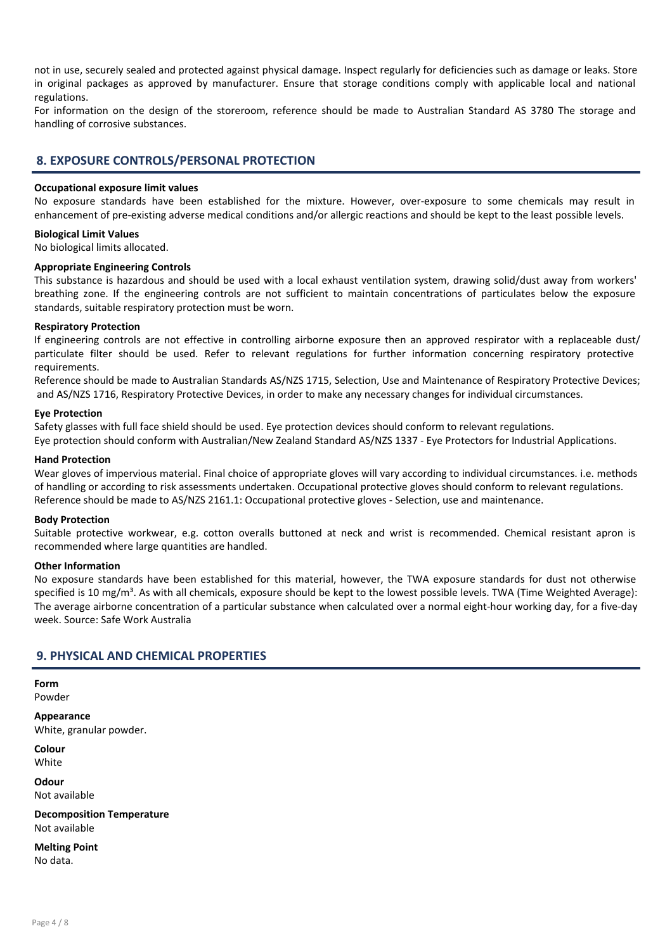not in use, securely sealed and protected against physical damage. Inspect regularly for deficiencies such as damage or leaks. Store in original packages as approved by manufacturer. Ensure that storage conditions comply with applicable local and national regulations.

For information on the design of the storeroom, reference should be made to Australian Standard AS 3780 The storage and handling of corrosive substances.

#### 8. EXPOSURE CONTROLS/PERSONAL PROTECTION

#### Occupational exposure limit values

No exposure standards have been established for the mixture. However, over-exposure to some chemicals may result in enhancement of pre-existing adverse medical conditions and/or allergic reactions and should be kept to the least possible levels.

#### Biological Limit Values

No biological limits allocated.

#### Appropriate Engineering Controls

This substance is hazardous and should be used with a local exhaust ventilation system, drawing solid/dust away from workers' breathing zone. If the engineering controls are not sufficient to maintain concentrations of particulates below the exposure standards, suitable respiratory protection must be worn.

#### Respiratory Protection

If engineering controls are not effective in controlling airborne exposure then an approved respirator with a replaceable dust/ particulate filter should be used. Refer to relevant regulations for further information concerning respiratory protective requirements.

Reference should be made to Australian Standards AS/NZS 1715, Selection, Use and Maintenance of Respiratory Protective Devices; and AS/NZS 1716, Respiratory Protective Devices, in order to make any necessary changes for individual circumstances.

#### Eye Protection

Safety glasses with full face shield should be used. Eye protection devices should conform to relevant regulations. Eye protection should conform with Australian/New Zealand Standard AS/NZS 1337 - Eye Protectors for Industrial Applications.

#### Hand Protection

Wear gloves of impervious material. Final choice of appropriate gloves will vary according to individual circumstances. i.e. methods of handling or according to risk assessments undertaken. Occupational protective gloves should conform to relevant regulations. Reference should be made to AS/NZS 2161.1: Occupational protective gloves - Selection, use and maintenance.

#### Body Protection

Suitable protective workwear, e.g. cotton overalls buttoned at neck and wrist is recommended. Chemical resistant apron is recommended where large quantities are handled.

#### Other Information

No exposure standards have been established for this material, however, the TWA exposure standards for dust not otherwise specified is 10 mg/m<sup>3</sup>. As with all chemicals, exposure should be kept to the lowest possible levels. TWA (Time Weighted Average): The average airborne concentration of a particular substance when calculated over a normal eight-hour working day, for a five-day week. Source: Safe Work Australia

#### 9. PHYSICAL AND CHEMICAL PROPERTIES

Form Powder

Appearance White, granular powder.

Colour White

Odour Not available

Decomposition Temperature Not available

Melting Point No data.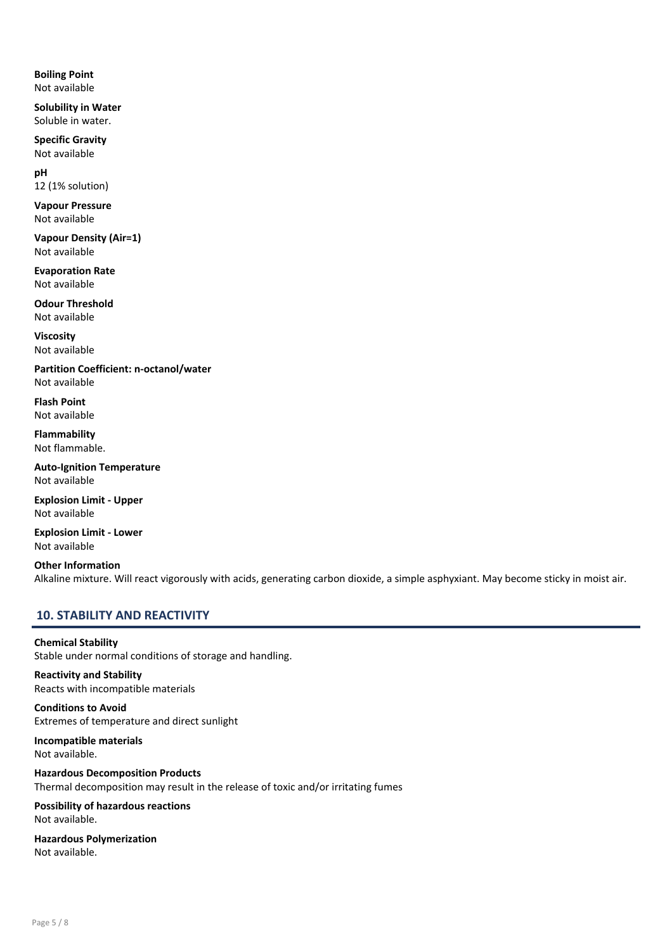Boiling Point Not available

Solubility in Water Soluble in water.

Specific Gravity Not available

pH 12 (1% solution)

Vapour Pressure Not available

Vapour Density (Air=1) Not available

Evaporation Rate Not available

Odour Threshold Not available

Viscosity Not available

Partition Coefficient: n-octanol/water Not available

Flash Point Not available

Flammability Not flammable.

Auto-Ignition Temperature Not available

Explosion Limit - Upper Not available

Explosion Limit - Lower Not available

Other Information Alkaline mixture. Will react vigorously with acids, generating carbon dioxide, a simple asphyxiant. May become sticky in moist air.

# 10. STABILITY AND REACTIVITY

Chemical Stability Stable under normal conditions of storage and handling.

Reactivity and Stability Reacts with incompatible materials

Conditions to Avoid Extremes of temperature and direct sunlight

Incompatible materials Not available.

Hazardous Decomposition Products Thermal decomposition may result in the release of toxic and/or irritating fumes

Possibility of hazardous reactions Not available.

Hazardous Polymerization Not available.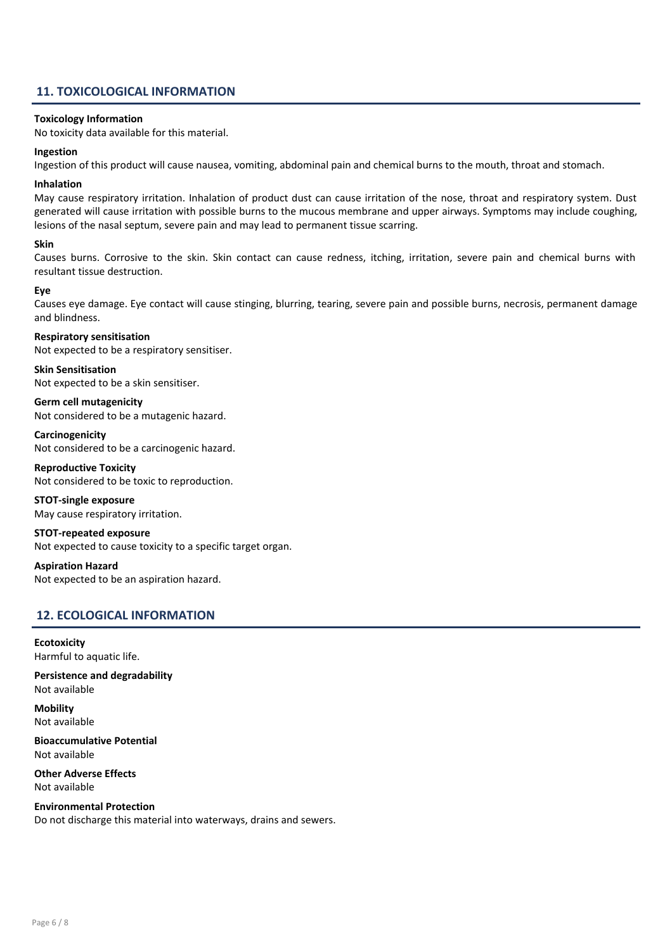### 11. TOXICOLOGICAL INFORMATION

#### Toxicology Information

No toxicity data available for this material.

#### Ingestion

Ingestion of this product will cause nausea, vomiting, abdominal pain and chemical burns to the mouth, throat and stomach.

#### Inhalation

May cause respiratory irritation. Inhalation of product dust can cause irritation of the nose, throat and respiratory system. Dust generated will cause irritation with possible burns to the mucous membrane and upper airways. Symptoms may include coughing, lesions of the nasal septum, severe pain and may lead to permanent tissue scarring.

#### Skin

Causes burns. Corrosive to the skin. Skin contact can cause redness, itching, irritation, severe pain and chemical burns with resultant tissue destruction.

#### Eye

Causes eye damage. Eye contact will cause stinging, blurring, tearing, severe pain and possible burns, necrosis, permanent damage and blindness.

#### Respiratory sensitisation

Not expected to be a respiratory sensitiser.

Skin Sensitisation Not expected to be a skin sensitiser.

Germ cell mutagenicity Not considered to be a mutagenic hazard.

Carcinogenicity Not considered to be a carcinogenic hazard.

Reproductive Toxicity Not considered to be toxic to reproduction.

# STOT-single exposure

May cause respiratory irritation.

STOT-repeated exposure

Not expected to cause toxicity to a specific target organ.

Aspiration Hazard Not expected to be an aspiration hazard.

# 12. ECOLOGICAL INFORMATION

**Ecotoxicity** Harmful to aquatic life.

Persistence and degradability Not available

**Mobility** Not available

Bioaccumulative Potential Not available

Other Adverse Effects Not available

Environmental Protection Do not discharge this material into waterways, drains and sewers.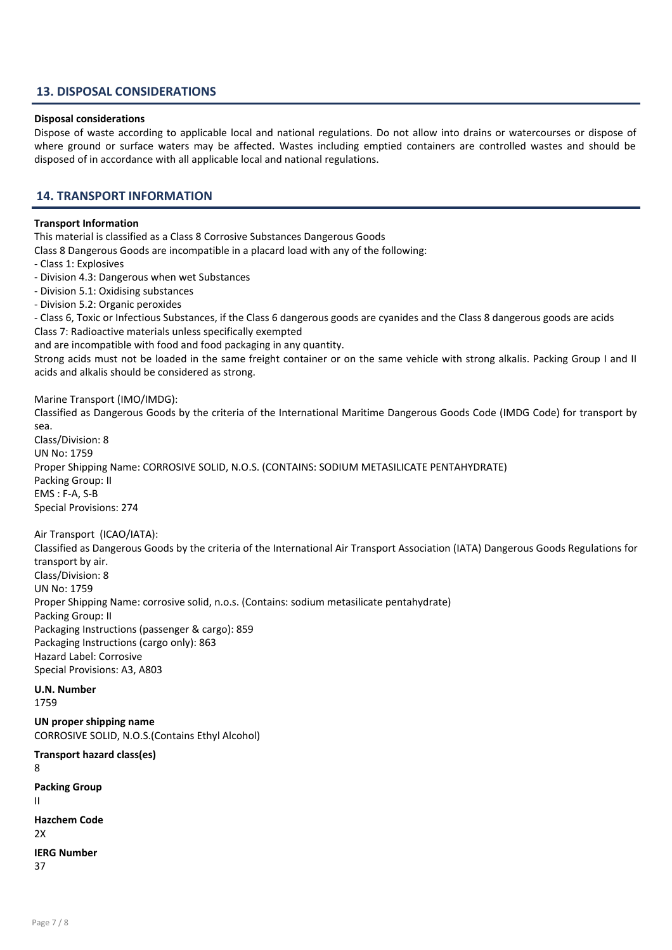#### 13. DISPOSAL CONSIDERATIONS

#### Disposal considerations

Dispose of waste according to applicable local and national regulations. Do not allow into drains or watercourses or dispose of where ground or surface waters may be affected. Wastes including emptied containers are controlled wastes and should be disposed of in accordance with all applicable local and national regulations.

#### 14. TRANSPORT INFORMATION

#### Transport Information

This material is classified as a Class 8 Corrosive Substances Dangerous Goods

Class 8 Dangerous Goods are incompatible in a placard load with any of the following:

- Class 1: Explosives
- Division 4.3: Dangerous when wet Substances
- Division 5.1: Oxidising substances
- Division 5.2: Organic peroxides

- Class 6, Toxic or Infectious Substances, if the Class 6 dangerous goods are cyanides and the Class 8 dangerous goods are acids Class 7: Radioactive materials unless specifically exempted

and are incompatible with food and food packaging in any quantity.

Strong acids must not be loaded in the same freight container or on the same vehicle with strong alkalis. Packing Group I and II acids and alkalis should be considered as strong.

#### Marine Transport (IMO/IMDG):

Classified as Dangerous Goods by the criteria of the International Maritime Dangerous Goods Code (IMDG Code) for transport by sea.

Class/Division: 8 UN No: 1759 Proper Shipping Name: CORROSIVE SOLID, N.O.S. (CONTAINS: SODIUM METASILICATE PENTAHYDRATE) Packing Group: II EMS : F-A, S-B Special Provisions: 274

Air Transport (ICAO/IATA):

Classified as Dangerous Goods by the criteria of the International Air Transport Association (IATA) Dangerous Goods Regulations for transport by air. Class/Division: 8 UN No: 1759 Proper Shipping Name: corrosive solid, n.o.s. (Contains: sodium metasilicate pentahydrate) Packing Group: II Packaging Instructions (passenger & cargo): 859 Packaging Instructions (cargo only): 863 Hazard Label: Corrosive Special Provisions: A3, A803

#### U.N. Number

1759

UN proper shipping name CORROSIVE SOLID, N.O.S.(Contains Ethyl Alcohol)

Transport hazard class(es) 8 Packing Group II Hazchem Code  $2x$ IERG Number 37